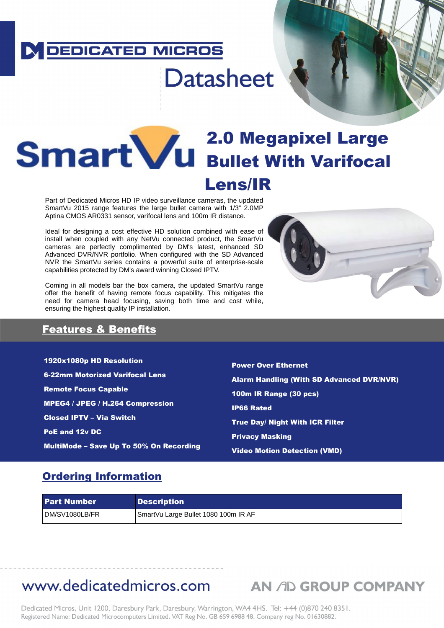## **DEDICATED MICROS**

# **Datasheet**

# **2.0 Megapixel Large Illidi L V U Bullet With Varifocal** Lens/IR

Part of Dedicated Micros HD IP video surveillance cameras, the updated SmartVu 2015 range features the large bullet camera with 1/3" 2.0MP Aptina CMOS AR0331 sensor, varifocal lens and 100m IR distance.

Ideal for designing a cost effective HD solution combined with ease of install when coupled with any NetVu connected product, the SmartVu cameras are perfectly complimented by DM's latest, enhanced SD Advanced DVR/NVR portfolio. When configured with the SD Advanced NVR the SmartVu series contains a powerful suite of enterprise-scale capabilities protected by DM's award winning Closed IPTV.

Coming in all models bar the box camera, the updated SmartVu range offer the benefit of having remote focus capability. This mitigates the need for camera head focusing, saving both time and cost while, ensuring the highest quality IP installation.



**THE CONFIDENTI** 

### Features & Benefits

1920x1080p HD Resolution 6-22mm Motorized Varifocal Lens Remote Focus Capable MPEG4 / JPEG / H.264 Compression Closed IPTV – Via Switch PoE and 12v DC MultiMode – Save Up To 50% On Recording

Power Over Ethernet Alarm Handling (With SD Advanced DVR/NVR) 100m IR Range (30 pcs) IP66 Rated True Day/ Night With ICR Filter Privacy Masking Video Motion Detection (VMD)

### Ordering Information

| l Part Number  | <b>Description</b>                   |
|----------------|--------------------------------------|
| DM/SV1080LB/FR | SmartVu Large Bullet 1080 100m IR AF |

# www.dedicatedmicros.com AN AD GROUP COMPANY

Dedicated Micros, Unit 1200, Daresbury Park, Daresbury, Warrington, WA4 4HS. Tel: +44 (0)870 240 8351. Registered Name: Dedicated Microcomputers Limited. VAT Reg No. GB 659 6988 48. Company reg No. 01630882.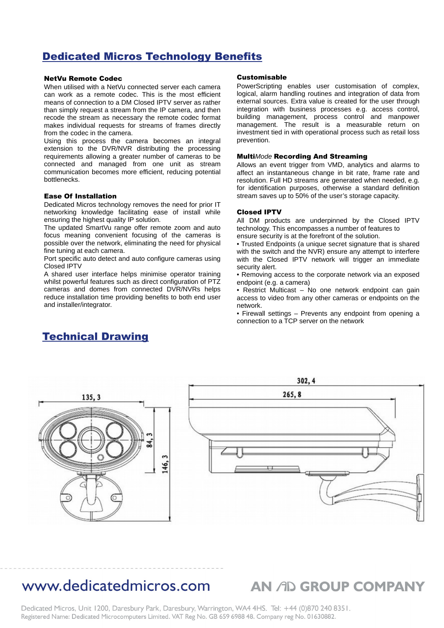### Dedicated Micros Technology Benefits

### NetVu Remote Codec

When utilised with a NetVu connected server each camera can work as a remote codec. This is the most efficient means of connection to a DM Closed IPTV server as rather than simply request a stream from the IP camera, and then recode the stream as necessary the remote codec format makes individual requests for streams of frames directly from the codec in the camera.

Using this process the camera becomes an integral extension to the DVR/NVR distributing the processing requirements allowing a greater number of cameras to be connected and managed from one unit as stream communication becomes more efficient, reducing potential bottlenecks.

#### Ease Of Installation

Dedicated Micros technology removes the need for prior IT networking knowledge facilitating ease of install while ensuring the highest quality IP solution.

The updated SmartVu range offer remote zoom and auto focus meaning convenient focusing of the cameras is possible over the network, eliminating the need for physical fine tuning at each camera.

Port specific auto detect and auto configure cameras using Closed IPTV

A shared user interface helps minimise operator training whilst powerful features such as direct configuration of PTZ cameras and domes from connected DVR/NVRs helps reduce installation time providing benefits to both end user and installer/integrator.

### Technical Drawing

#### Customisable

PowerScripting enables user customisation of complex, logical, alarm handling routines and integration of data from external sources. Extra value is created for the user through integration with business processes e.g. access control, building management, process control and manpower management. The result is a measurable return on investment tied in with operational process such as retail loss prevention.

#### Multi*Mode* Recording And Streaming

Allows an event trigger from VMD, analytics and alarms to affect an instantaneous change in bit rate, frame rate and resolution. Full HD streams are generated when needed, e.g. for identification purposes, otherwise a standard definition stream saves up to 50% of the user's storage capacity.

#### Closed IPTV

All DM products are underpinned by the Closed IPTV technology. This encompasses a number of features to ensure security is at the forefront of the solution.

• Trusted Endpoints (a unique secret signature that is shared with the switch and the NVR) ensure any attempt to interfere with the Closed IPTV network will trigger an immediate security alert.

• Removing access to the corporate network via an exposed endpoint (e.g. a camera)

• Restrict Multicast – No one network endpoint can gain access to video from any other cameras or endpoints on the network.

• Firewall settings – Prevents any endpoint from opening a connection to a TCP server on the network



## www.dedicatedmicros.com AN AD GROUP COMPANY

Dedicated Micros, Unit 1200, Daresbury Park, Daresbury, Warrington, WA4 4HS. Tel: +44 (0)870 240 8351. Registered Name: Dedicated Microcomputers Limited. VAT Reg No. GB 659 6988 48. Company reg No. 01630882.